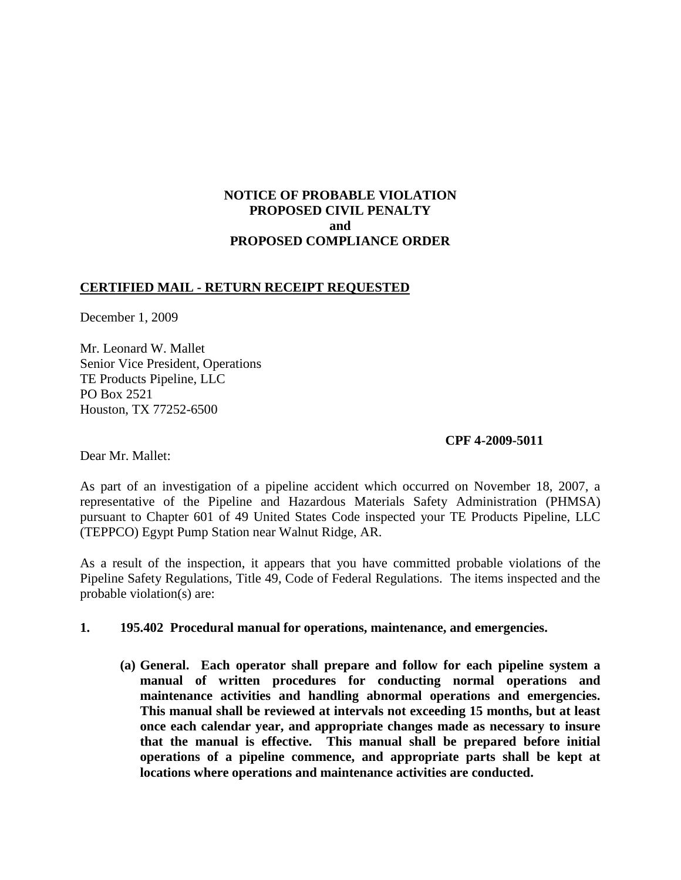# **NOTICE OF PROBABLE VIOLATION PROPOSED CIVIL PENALTY and PROPOSED COMPLIANCE ORDER**

## **CERTIFIED MAIL - RETURN RECEIPT REQUESTED**

December 1, 2009

Mr. Leonard W. Mallet Senior Vice President, Operations TE Products Pipeline, LLC PO Box 2521 Houston, TX 77252-6500

### **CPF 4-2009-5011**

Dear Mr. Mallet:

As part of an investigation of a pipeline accident which occurred on November 18, 2007, a representative of the Pipeline and Hazardous Materials Safety Administration (PHMSA) pursuant to Chapter 601 of 49 United States Code inspected your TE Products Pipeline, LLC (TEPPCO) Egypt Pump Station near Walnut Ridge, AR.

As a result of the inspection, it appears that you have committed probable violations of the Pipeline Safety Regulations, Title 49, Code of Federal Regulations. The items inspected and the probable violation(s) are:

#### **1. 195.402 Procedural manual for operations, maintenance, and emergencies.**

**(a) General. Each operator shall prepare and follow for each pipeline system a manual of written procedures for conducting normal operations and maintenance activities and handling abnormal operations and emergencies. This manual shall be reviewed at intervals not exceeding 15 months, but at least once each calendar year, and appropriate changes made as necessary to insure that the manual is effective. This manual shall be prepared before initial operations of a pipeline commence, and appropriate parts shall be kept at locations where operations and maintenance activities are conducted.**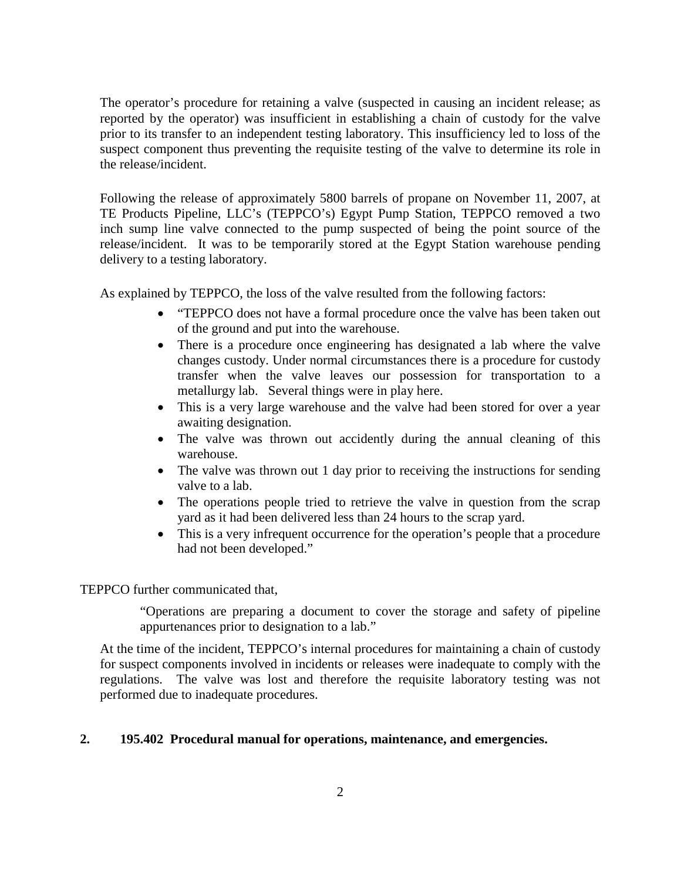The operator's procedure for retaining a valve (suspected in causing an incident release; as reported by the operator) was insufficient in establishing a chain of custody for the valve prior to its transfer to an independent testing laboratory. This insufficiency led to loss of the suspect component thus preventing the requisite testing of the valve to determine its role in the release/incident.

Following the release of approximately 5800 barrels of propane on November 11, 2007, at TE Products Pipeline, LLC's (TEPPCO's) Egypt Pump Station, TEPPCO removed a two inch sump line valve connected to the pump suspected of being the point source of the release/incident. It was to be temporarily stored at the Egypt Station warehouse pending delivery to a testing laboratory.

As explained by TEPPCO, the loss of the valve resulted from the following factors:

- "TEPPCO does not have a formal procedure once the valve has been taken out of the ground and put into the warehouse.
- There is a procedure once engineering has designated a lab where the valve changes custody. Under normal circumstances there is a procedure for custody transfer when the valve leaves our possession for transportation to a metallurgy lab. Several things were in play here.
- This is a very large warehouse and the valve had been stored for over a year awaiting designation.
- The valve was thrown out accidently during the annual cleaning of this warehouse.
- The valve was thrown out 1 day prior to receiving the instructions for sending valve to a lab.
- The operations people tried to retrieve the valve in question from the scrap yard as it had been delivered less than 24 hours to the scrap yard.
- This is a very infrequent occurrence for the operation's people that a procedure had not been developed."

TEPPCO further communicated that,

"Operations are preparing a document to cover the storage and safety of pipeline appurtenances prior to designation to a lab."

At the time of the incident, TEPPCO's internal procedures for maintaining a chain of custody for suspect components involved in incidents or releases were inadequate to comply with the regulations. The valve was lost and therefore the requisite laboratory testing was not performed due to inadequate procedures.

#### **2. 195.402 Procedural manual for operations, maintenance, and emergencies.**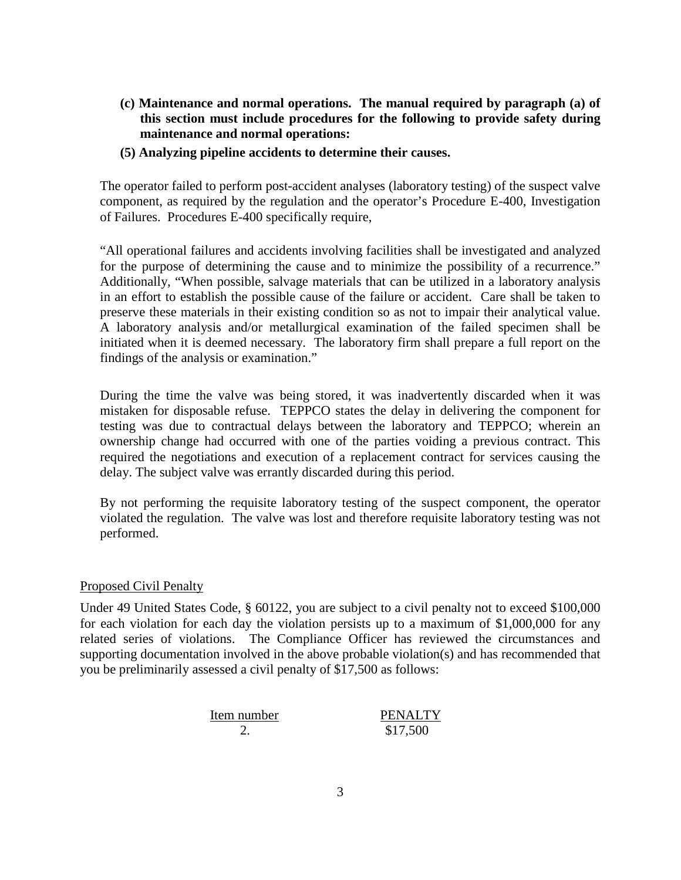- **(c) Maintenance and normal operations. The manual required by paragraph (a) of this section must include procedures for the following to provide safety during maintenance and normal operations:**
- **(5) Analyzing pipeline accidents to determine their causes.**

The operator failed to perform post-accident analyses (laboratory testing) of the suspect valve component, as required by the regulation and the operator's Procedure E-400, Investigation of Failures. Procedures E-400 specifically require,

"All operational failures and accidents involving facilities shall be investigated and analyzed for the purpose of determining the cause and to minimize the possibility of a recurrence." Additionally, "When possible, salvage materials that can be utilized in a laboratory analysis in an effort to establish the possible cause of the failure or accident. Care shall be taken to preserve these materials in their existing condition so as not to impair their analytical value. A laboratory analysis and/or metallurgical examination of the failed specimen shall be initiated when it is deemed necessary. The laboratory firm shall prepare a full report on the findings of the analysis or examination."

During the time the valve was being stored, it was inadvertently discarded when it was mistaken for disposable refuse. TEPPCO states the delay in delivering the component for testing was due to contractual delays between the laboratory and TEPPCO; wherein an ownership change had occurred with one of the parties voiding a previous contract. This required the negotiations and execution of a replacement contract for services causing the delay. The subject valve was errantly discarded during this period.

By not performing the requisite laboratory testing of the suspect component, the operator violated the regulation. The valve was lost and therefore requisite laboratory testing was not performed.

#### Proposed Civil Penalty

Under 49 United States Code, § 60122, you are subject to a civil penalty not to exceed \$100,000 for each violation for each day the violation persists up to a maximum of \$1,000,000 for any related series of violations. The Compliance Officer has reviewed the circumstances and supporting documentation involved in the above probable violation(s) and has recommended that you be preliminarily assessed a civil penalty of \$17,500 as follows:

| Item number | <b>PENALTY</b> |
|-------------|----------------|
|             | \$17,500       |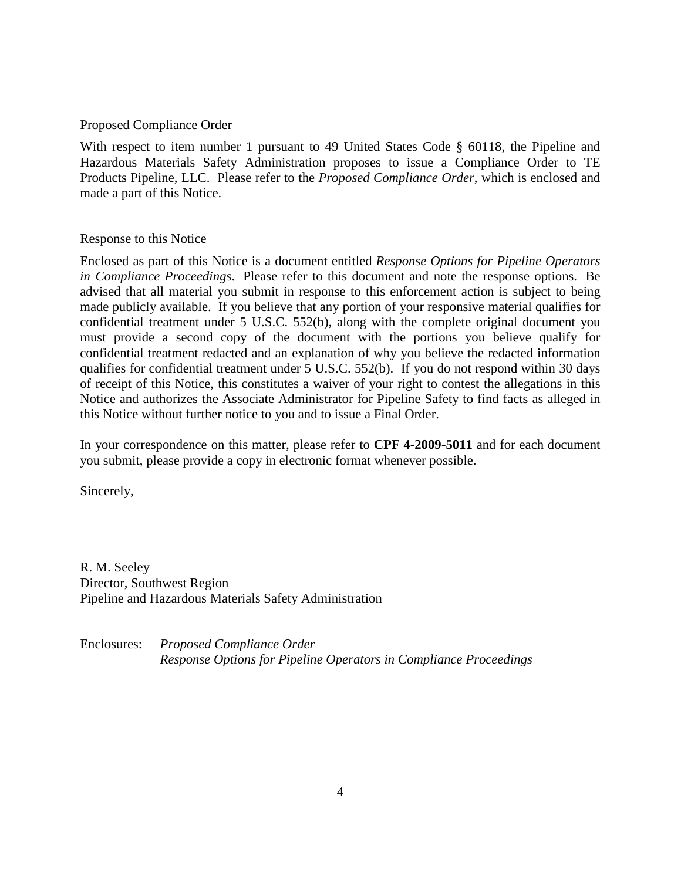### Proposed Compliance Order

With respect to item number 1 pursuant to 49 United States Code § 60118, the Pipeline and Hazardous Materials Safety Administration proposes to issue a Compliance Order to TE Products Pipeline, LLC. Please refer to the *Proposed Compliance Order*, which is enclosed and made a part of this Notice.

### Response to this Notice

Enclosed as part of this Notice is a document entitled *Response Options for Pipeline Operators in Compliance Proceedings*. Please refer to this document and note the response options. Be advised that all material you submit in response to this enforcement action is subject to being made publicly available. If you believe that any portion of your responsive material qualifies for confidential treatment under 5 U.S.C. 552(b), along with the complete original document you must provide a second copy of the document with the portions you believe qualify for confidential treatment redacted and an explanation of why you believe the redacted information qualifies for confidential treatment under 5 U.S.C. 552(b). If you do not respond within 30 days of receipt of this Notice, this constitutes a waiver of your right to contest the allegations in this Notice and authorizes the Associate Administrator for Pipeline Safety to find facts as alleged in this Notice without further notice to you and to issue a Final Order.

In your correspondence on this matter, please refer to **CPF 4-2009-5011** and for each document you submit, please provide a copy in electronic format whenever possible.

Sincerely,

R. M. Seeley Director, Southwest Region Pipeline and Hazardous Materials Safety Administration

Enclosures: *Proposed Compliance Order Response Options for Pipeline Operators in Compliance Proceedings*